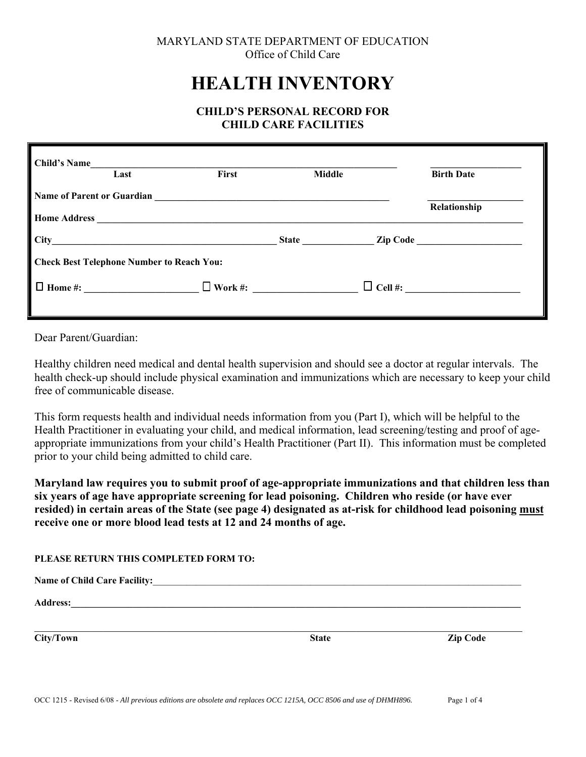# MARYLAND STATE DEPARTMENT OF EDUCATION Office of Child Care

# **HEALTH INVENTORY**

# **CHILD'S PERSONAL RECORD FOR CHILD CARE FACILITIES**

| <b>Child's Name</b>               | Last                                                | First                                                                                                                | <b>Middle</b> | <b>Birth Date</b> |
|-----------------------------------|-----------------------------------------------------|----------------------------------------------------------------------------------------------------------------------|---------------|-------------------|
| <b>Name of Parent or Guardian</b> |                                                     | <u> 1989 - Jan Samuel Barbara, margaret e populari e populari e populari e populari e populari e populari e popu</u> |               | Relationship      |
| <b>City</b>                       | <u> 1980 - Johann Stein, marwolaethau (b. 1980)</u> |                                                                                                                      |               | Zip Code          |
|                                   | <b>Check Best Telephone Number to Reach You:</b>    |                                                                                                                      |               |                   |
|                                   | $\Box$ Home #:                                      | $\Box$ Work #:                                                                                                       |               | $\Box$ Cell #:    |

Dear Parent/Guardian:

Healthy children need medical and dental health supervision and should see a doctor at regular intervals. The health check-up should include physical examination and immunizations which are necessary to keep your child free of communicable disease.

This form requests health and individual needs information from you (Part I), which will be helpful to the Health Practitioner in evaluating your child, and medical information, lead screening/testing and proof of ageappropriate immunizations from your child's Health Practitioner (Part II). This information must be completed prior to your child being admitted to child care.

**Maryland law requires you to submit proof of age-appropriate immunizations and that children less than six years of age have appropriate screening for lead poisoning. Children who reside (or have ever resided) in certain areas of the State (see page 4) designated as at-risk for childhood lead poisoning must receive one or more blood lead tests at 12 and 24 months of age.** 

 $\mathcal{L}_\mathcal{L} = \{ \mathcal{L}_\mathcal{L} = \{ \mathcal{L}_\mathcal{L} = \{ \mathcal{L}_\mathcal{L} = \{ \mathcal{L}_\mathcal{L} = \{ \mathcal{L}_\mathcal{L} = \{ \mathcal{L}_\mathcal{L} = \{ \mathcal{L}_\mathcal{L} = \{ \mathcal{L}_\mathcal{L} = \{ \mathcal{L}_\mathcal{L} = \{ \mathcal{L}_\mathcal{L} = \{ \mathcal{L}_\mathcal{L} = \{ \mathcal{L}_\mathcal{L} = \{ \mathcal{L}_\mathcal{L} = \{ \mathcal{L}_\mathcal{$ 

## **PLEASE RETURN THIS COMPLETED FORM TO:**

| <b>Name of Child Care Facility:</b> |  |
|-------------------------------------|--|
|-------------------------------------|--|

 $\bf{Address:}\color{red}{\bf\color{blue}{\bf\color{blue}{\bf\color{blue}{\bf\color{blue}{\bf\color{blue}{\bf\color{blue}{\bf\color{blue}{\bf\color{blue}{\bf\color{blue}{\bf\color{blue}{\bf\color{blue}{\bf\color{blue}{\bf\color{blue}{\bf\color{blue}{\bf\color{blue}{\bf\color{blue}{\bf\color{blue}{\bf\color{blue}{\bf\color{blue}{\bf\color{blue}{\bf\color{blue}{\bf\color{blue}{\bf\color{blue}{\bf\color{blue}{\bf\color{blue}{\bf\color{blue}{\bf\color{blue}{\bf\color{blue}{\bf\color{blue}{\bf\color{blue}{\$ 

**City/Town State Zip Code**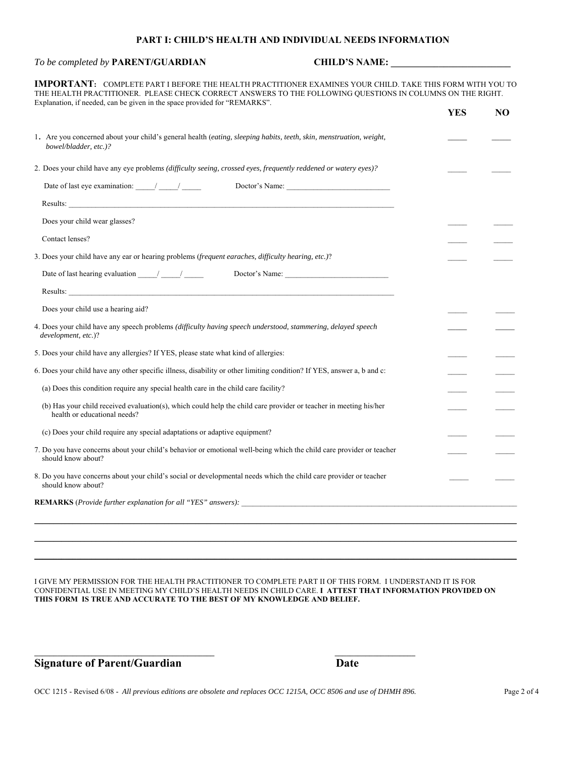#### **PART I: CHILD'S HEALTH AND INDIVIDUAL NEEDS INFORMATION**

## *To be completed by PARENT/GUARDIAN* CHILD'S NAME: \_\_\_\_\_\_\_\_\_\_\_\_\_\_\_\_\_\_\_\_\_\_\_\_\_\_\_\_\_\_\_

**IMPORTANT:** COMPLETE PART I BEFORE THE HEALTH PRACTITIONER EXAMINES YOUR CHILD. TAKE THIS FORM WITH YOU TO THE HEALTH PRACTITIONER. PLEASE CHECK CORRECT ANSWERS TO THE FOLLOWING QUESTIONS IN COLUMNS ON THE RIGHT. Explanation, if needed, can be given in the space provided for "REMARKS".

|                                                                                                                                                                                                                                                                                                                                                                                                                        | <b>YES</b> | N <sub>O</sub> |
|------------------------------------------------------------------------------------------------------------------------------------------------------------------------------------------------------------------------------------------------------------------------------------------------------------------------------------------------------------------------------------------------------------------------|------------|----------------|
| 1. Are you concerned about your child's general health (eating, sleeping habits, teeth, skin, menstruation, weight,<br>bowel/bladder, etc.)?                                                                                                                                                                                                                                                                           |            |                |
| 2. Does your child have any eye problems (difficulty seeing, crossed eyes, frequently reddened or watery eyes)?                                                                                                                                                                                                                                                                                                        |            |                |
| Date of last eye examination: $\frac{1}{\sqrt{1-\frac{1}{2}}}\frac{1}{\sqrt{1-\frac{1}{2}}}\frac{1}{\sqrt{1-\frac{1}{2}}}\frac{1}{\sqrt{1-\frac{1}{2}}}\frac{1}{\sqrt{1-\frac{1}{2}}}\frac{1}{\sqrt{1-\frac{1}{2}}}\frac{1}{\sqrt{1-\frac{1}{2}}}\frac{1}{\sqrt{1-\frac{1}{2}}}\frac{1}{\sqrt{1-\frac{1}{2}}}\frac{1}{\sqrt{1-\frac{1}{2}}}\frac{1}{\sqrt{1-\frac{1}{2}}}\frac{1}{\sqrt{1-\frac{1}{$<br>Doctor's Name: |            |                |
|                                                                                                                                                                                                                                                                                                                                                                                                                        |            |                |
| Does your child wear glasses?                                                                                                                                                                                                                                                                                                                                                                                          |            |                |
| Contact lenses?                                                                                                                                                                                                                                                                                                                                                                                                        |            |                |
| 3. Does your child have any ear or hearing problems (frequent earaches, difficulty hearing, etc.)?                                                                                                                                                                                                                                                                                                                     |            |                |
| Date of last hearing evaluation $\frac{1}{\sqrt{1-\frac{1}{2}}}$<br>Doctor's Name:                                                                                                                                                                                                                                                                                                                                     |            |                |
|                                                                                                                                                                                                                                                                                                                                                                                                                        |            |                |
| Does your child use a hearing aid?                                                                                                                                                                                                                                                                                                                                                                                     |            |                |
| 4. Does your child have any speech problems (difficulty having speech understood, stammering, delayed speech<br>development, etc.)?                                                                                                                                                                                                                                                                                    |            |                |
| 5. Does your child have any allergies? If YES, please state what kind of allergies:                                                                                                                                                                                                                                                                                                                                    |            |                |
| 6. Does your child have any other specific illness, disability or other limiting condition? If YES, answer a, b and c:                                                                                                                                                                                                                                                                                                 |            |                |
| (a) Does this condition require any special health care in the child care facility?                                                                                                                                                                                                                                                                                                                                    |            |                |
| (b) Has your child received evaluation(s), which could help the child care provider or teacher in meeting his/her<br>health or educational needs?                                                                                                                                                                                                                                                                      |            |                |
| (c) Does your child require any special adaptations or adaptive equipment?                                                                                                                                                                                                                                                                                                                                             |            |                |
| 7. Do you have concerns about your child's behavior or emotional well-being which the child care provider or teacher<br>should know about?                                                                                                                                                                                                                                                                             |            |                |
| 8. Do you have concerns about your child's social or developmental needs which the child care provider or teacher<br>should know about?                                                                                                                                                                                                                                                                                |            |                |
| <b>REMARKS</b> ( <i>Provide further explanation for all "YES" answers</i> ):                                                                                                                                                                                                                                                                                                                                           |            |                |
|                                                                                                                                                                                                                                                                                                                                                                                                                        |            |                |
|                                                                                                                                                                                                                                                                                                                                                                                                                        |            |                |

I GIVE MY PERMISSION FOR THE HEALTH PRACTITIONER TO COMPLETE PART II OF THIS FORM. I UNDERSTAND IT IS FOR CONFIDENTIAL USE IN MEETING MY CHILD'S HEALTH NEEDS IN CHILD CARE. **I ATTEST THAT INFORMATION PROVIDED ON THIS FORM IS TRUE AND ACCURATE TO THE BEST OF MY KNOWLEDGE AND BELIEF.** 

**\_\_\_\_\_\_\_\_\_\_\_\_\_\_\_\_\_\_\_\_\_\_\_\_\_\_\_\_\_\_\_\_\_\_\_\_\_\_\_\_\_\_\_\_\_\_\_\_\_\_\_\_\_\_\_\_\_\_\_\_\_\_\_\_\_\_\_\_\_\_\_\_\_\_\_\_\_\_\_\_\_\_\_\_\_\_\_\_\_\_\_\_\_\_\_\_\_\_\_\_\_\_\_\_\_\_\_\_\_\_\_\_\_\_\_\_\_\_\_\_\_\_\_\_\_\_**

**Signature of Parent/Guardian Date** 

**\_\_\_\_\_\_\_\_\_\_\_\_\_\_\_\_\_\_\_\_\_\_\_\_\_\_\_\_\_\_\_\_\_\_\_\_\_\_\_\_\_\_\_\_\_\_\_ \_\_\_\_\_\_\_\_\_\_\_\_\_\_\_\_\_\_\_\_\_**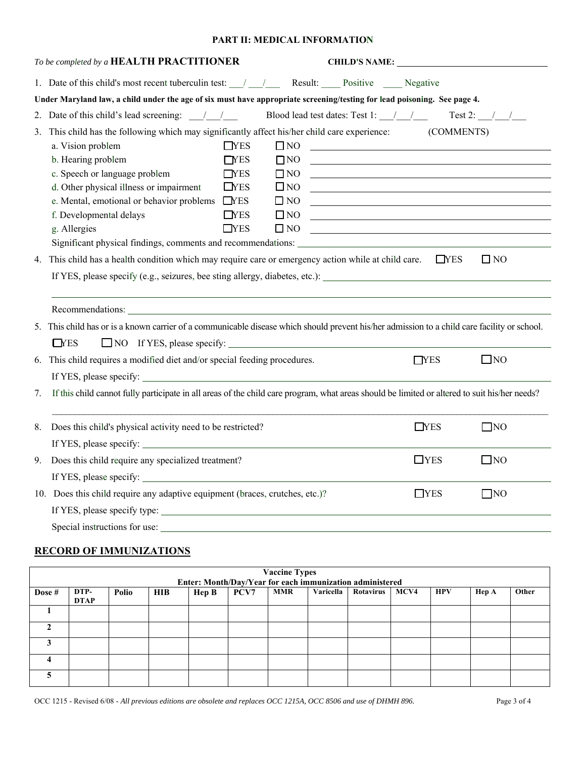## **PART II: MEDICAL INFORMATION**

|    | To be completed by a HEALTH PRACTITIONER                                                                                                      |                  |              | <b>CHILD'S NAME:</b>                                                                                                  |                  |              |  |  |
|----|-----------------------------------------------------------------------------------------------------------------------------------------------|------------------|--------------|-----------------------------------------------------------------------------------------------------------------------|------------------|--------------|--|--|
|    | 1. Date of this child's most recent tuberculin test: \[mathematic median Result: \[mathematic Positive \] Negative                            |                  |              |                                                                                                                       |                  |              |  |  |
|    | Under Maryland law, a child under the age of six must have appropriate screening/testing for lead poisoning. See page 4.                      |                  |              |                                                                                                                       |                  |              |  |  |
|    | 2. Date of this child's lead screening: $\frac{1}{2}$ /                                                                                       |                  |              | Blood lead test dates: Test 1: $\frac{1}{\sqrt{2}}$ Test 2: $\frac{1}{\sqrt{2}}$                                      |                  |              |  |  |
|    | 3. This child has the following which may significantly affect his/her child care experience: (COMMENTS)                                      |                  |              |                                                                                                                       |                  |              |  |  |
|    | a. Vision problem                                                                                                                             | $\Box$ YES       | $\square$ NO | <u> 1989 - Johann Harry Harry Harry Harry Harry Harry Harry Harry Harry Harry Harry Harry Harry Harry Harry Harry</u> |                  |              |  |  |
|    | b. Hearing problem                                                                                                                            | T <sub>YES</sub> | $\square$ NO |                                                                                                                       |                  |              |  |  |
|    | c. Speech or language problem                                                                                                                 | TYES             | $\Box$ NO    | <u> 1989 - Johann Stein, fransk politik (d. 1989)</u>                                                                 |                  |              |  |  |
|    | d. Other physical illness or impairment                                                                                                       | $\Box$ YES       | $\square$ NO | <u> 1989 - Jan Barnett, fransk politiker (d. 1989)</u>                                                                |                  |              |  |  |
|    | e. Mental, emotional or behavior problems  NES                                                                                                |                  | $\square$ NO | <u> 1989 - Johann John Stein, fransk politik (d. 1989)</u>                                                            |                  |              |  |  |
|    | f. Developmental delays                                                                                                                       | $\Box$ YES       | $\square$ NO | <u> 1989 - Andrea Barbara, poeta esperanto-poeta esperanto-poeta esperanto-poeta esperanto-poeta esperanto-poeta</u>  |                  |              |  |  |
|    | g. Allergies                                                                                                                                  | $\Box$ YES       | $\square$ NO |                                                                                                                       |                  |              |  |  |
|    |                                                                                                                                               |                  |              |                                                                                                                       |                  |              |  |  |
|    | 4. This child has a health condition which may require care or emergency action while at child care.                                          |                  |              |                                                                                                                       | $\Box$ YES       | $\Box$ NO    |  |  |
|    | If YES, please specify (e.g., seizures, bee sting allergy, diabetes, etc.):                                                                   |                  |              |                                                                                                                       |                  |              |  |  |
|    |                                                                                                                                               |                  |              |                                                                                                                       |                  |              |  |  |
|    |                                                                                                                                               |                  |              |                                                                                                                       |                  |              |  |  |
|    | 5. This child has or is a known carrier of a communicable disease which should prevent his/her admission to a child care facility or school.  |                  |              |                                                                                                                       |                  |              |  |  |
|    | $\Box$ YES                                                                                                                                    |                  |              |                                                                                                                       |                  |              |  |  |
|    | 6. This child requires a modified diet and/or special feeding procedures.                                                                     |                  |              |                                                                                                                       | T <sub>YES</sub> | $\square$ NO |  |  |
|    |                                                                                                                                               |                  |              |                                                                                                                       |                  |              |  |  |
| 7. | If this child cannot fully participate in all areas of the child care program, what areas should be limited or altered to suit his/her needs? |                  |              |                                                                                                                       |                  |              |  |  |
|    |                                                                                                                                               |                  |              |                                                                                                                       |                  |              |  |  |
| 8. | Does this child's physical activity need to be restricted?                                                                                    |                  |              |                                                                                                                       | $\Box$ YES       | $\Box$ NO    |  |  |
|    |                                                                                                                                               |                  |              |                                                                                                                       |                  |              |  |  |
| 9. | Does this child require any specialized treatment?                                                                                            |                  |              |                                                                                                                       | $\Box$ YES       | $\square$ NO |  |  |
|    |                                                                                                                                               |                  |              |                                                                                                                       |                  |              |  |  |
|    | 10. Does this child require any adaptive equipment (braces, crutches, etc.)?                                                                  |                  |              |                                                                                                                       | $\Box$ YES       | $\Box$ NO    |  |  |
|    |                                                                                                                                               |                  |              |                                                                                                                       |                  |              |  |  |
|    |                                                                                                                                               |                  |              |                                                                                                                       |                  |              |  |  |
|    |                                                                                                                                               |                  |              |                                                                                                                       |                  |              |  |  |

## **RECORD OF IMMUNIZATIONS**

| <b>Vaccine Types</b><br>Enter: Month/Day/Year for each immunization administered |                                                                                                                                             |  |  |  |  |  |  |  |  |  |  |
|----------------------------------------------------------------------------------|---------------------------------------------------------------------------------------------------------------------------------------------|--|--|--|--|--|--|--|--|--|--|
| Dose #                                                                           | PCV7<br><b>MMR</b><br>Varicella<br>MCV4<br>DTP-<br><b>HIB</b><br>Rotavirus<br><b>HPV</b><br>Other<br>Polio<br>Hep B<br>Hep A<br><b>DTAP</b> |  |  |  |  |  |  |  |  |  |  |
|                                                                                  |                                                                                                                                             |  |  |  |  |  |  |  |  |  |  |
|                                                                                  |                                                                                                                                             |  |  |  |  |  |  |  |  |  |  |
|                                                                                  |                                                                                                                                             |  |  |  |  |  |  |  |  |  |  |
| Д                                                                                |                                                                                                                                             |  |  |  |  |  |  |  |  |  |  |
|                                                                                  |                                                                                                                                             |  |  |  |  |  |  |  |  |  |  |

OCC 1215 - Revised 6/08 - *All previous editions are obsolete and replaces OCC 1215A, OCC 8506 and use of DHMH 896.* Page 3 of 4